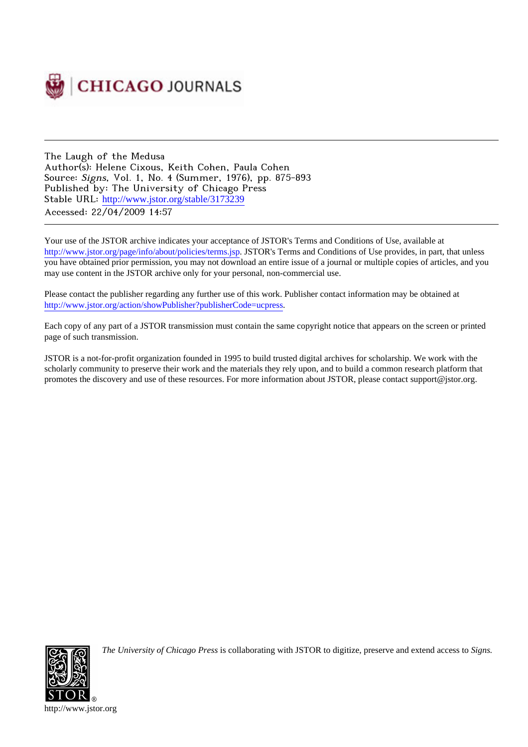

The Laugh of the Medusa Author(s): Helene Cixous, Keith Cohen, Paula Cohen Source: Signs, Vol. 1, No. 4 (Summer, 1976), pp. 875-893 Published by: The University of Chicago Press Stable URL: [http://www.jstor.org/stable/3173239](http://www.jstor.org/stable/3173239?origin=JSTOR-pdf) Accessed: 22/04/2009 14:57

Your use of the JSTOR archive indicates your acceptance of JSTOR's Terms and Conditions of Use, available at <http://www.jstor.org/page/info/about/policies/terms.jsp>. JSTOR's Terms and Conditions of Use provides, in part, that unless you have obtained prior permission, you may not download an entire issue of a journal or multiple copies of articles, and you may use content in the JSTOR archive only for your personal, non-commercial use.

Please contact the publisher regarding any further use of this work. Publisher contact information may be obtained at [http://www.jstor.org/action/showPublisher?publisherCode=ucpress.](http://www.jstor.org/action/showPublisher?publisherCode=ucpress)

Each copy of any part of a JSTOR transmission must contain the same copyright notice that appears on the screen or printed page of such transmission.

JSTOR is a not-for-profit organization founded in 1995 to build trusted digital archives for scholarship. We work with the scholarly community to preserve their work and the materials they rely upon, and to build a common research platform that promotes the discovery and use of these resources. For more information about JSTOR, please contact support@jstor.org.



*The University of Chicago Press* is collaborating with JSTOR to digitize, preserve and extend access to *Signs.*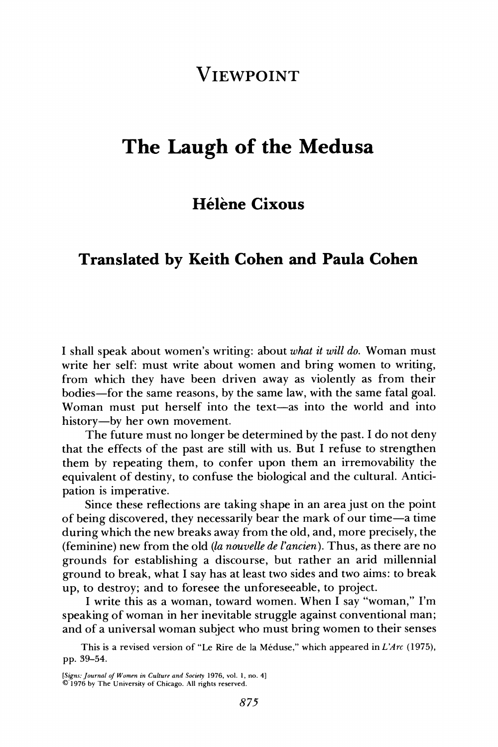## **VIEWPOINT**

## **The Laugh of the Medusa**

## **Hélène Cixous**

## **Translated by Keith Cohen and Paula Cohen**

**I shall speak about women's writing: about what it will do. Woman must write her self: must write about women and bring women to writing, from which they have been driven away as violently as from their bodies-for the same reasons, by the same law, with the same fatal goal. Woman must put herself into the text-as into the world and into history-by her own movement.** 

**The future must no longer be determined by the past. I do not deny that the effects of the past are still with us. But I refuse to strengthen them by repeating them, to confer upon them an irremovability the equivalent of destiny, to confuse the biological and the cultural. Anticipation is imperative.** 

**Since these reflections are taking shape in an area just on the point of being discovered, they necessarily bear the mark of our time-a time during which the new breaks away from the old, and, more precisely, the (feminine) new from the old (la nouvelle de l'ancien). Thus, as there are no grounds for establishing a discourse, but rather an arid millennial ground to break, what I say has at least two sides and two aims: to break up, to destroy; and to foresee the unforeseeable, to project.** 

**I write this as a woman, toward women. When I say "woman," I'm speaking of woman in her inevitable struggle against conventional man; and of a universal woman subject who must bring women to their senses** 

**This is a revised version of "Le Rire de la Meduse," which appeared in L'Arc (1975), pp. 39-54.** 

**<sup>[</sup>Signs: Journal of Women in Culture and Society 1976, vol. 1, no. 4] ? 1976 by The University of Chicago. All rights reserved.**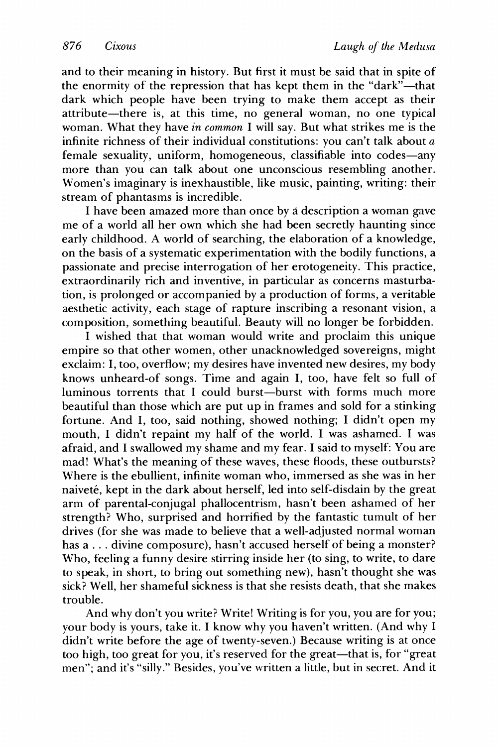**and to their meaning in history. But first it must be said that in spite of the enormity of the repression that has kept them in the "dark"-that dark which people have been trying to make them accept as their attribute-there is, at this time, no general woman, no one typical woman. What they have in common I will say. But what strikes me is the infinite richness of their individual constitutions: you can't talk about a female sexuality, uniform, homogeneous, classifiable into codes-any more than you can talk about one unconscious resembling another. Women's imaginary is inexhaustible, like music, painting, writing: their stream of phantasms is incredible.** 

**I have been amazed more than once by a description a woman gave me of a world all her own which she had been secretly haunting since early childhood. A world of searching, the elaboration of a knowledge, on the basis of a systematic experimentation with the bodily functions, a passionate and precise interrogation of her erotogeneity. This practice, extraordinarily rich and inventive, in particular as concerns masturbation, is prolonged or accompanied by a production of forms, a veritable aesthetic activity, each stage of rapture inscribing a resonant vision, a composition, something beautiful. Beauty will no longer be forbidden.** 

**I wished that that woman would write and proclaim this unique empire so that other women, other unacknowledged sovereigns, might exclaim: I, too, overflow; my desires have invented new desires, my body knows unheard-of songs. Time and again I, too, have felt so full of luminous torrents that I could burst-burst with forms much more beautiful than those which are put up in frames and sold for a stinking fortune. And I, too, said nothing, showed nothing; I didn't open my mouth, I didn't repaint my half of the world. I was ashamed. I was afraid, and I swallowed my shame and my fear. I said to myself: You are mad! What's the meaning of these waves, these floods, these outbursts? Where is the ebullient, infinite woman who, immersed as she was in her naivete, kept in the dark about herself, led into self-disdain by the great arm of parental-conjugal phallocentrism, hasn't been ashamed of her strength? Who, surprised and horrified by the fantastic tumult of her drives (for she was made to believe that a well-adjusted normal woman has a ... divine composure), hasn't accused herself of being a monster? Who, feeling a funny desire stirring inside her (to sing, to write, to dare to speak, in short, to bring out something new), hasn't thought she was sick? Well, her shameful sickness is that she resists death, that she makes trouble.** 

**And why don't you write? Write! Writing is for you, you are for you; your body is yours, take it. I know why you haven't written. (And why I didn't write before the age of twenty-seven.) Because writing is at once too high, too great for you, it's reserved for the great-that is, for "great men"; and it's "silly." Besides, you've written a little, but in secret. And it**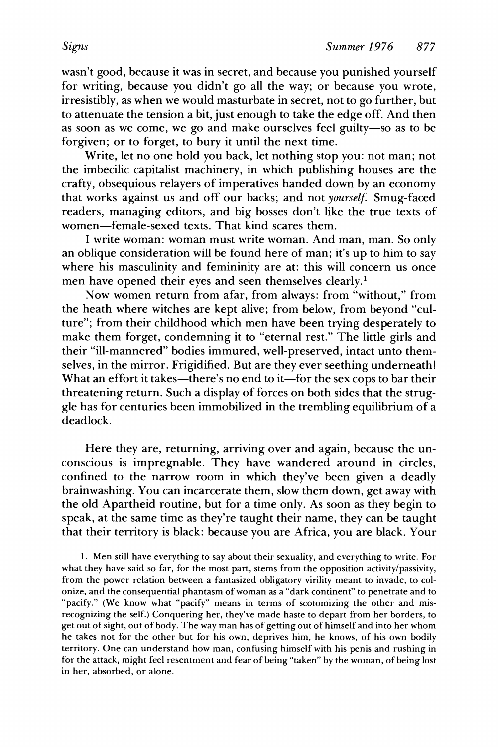**wasn't good, because it was in secret, and because you punished yourself for writing, because you didn't go all the way; or because you wrote, irresistibly, as when we would masturbate in secret, not to go further, but to attenuate the tension a bit, just enough to take the edge off. And then as soon as we come, we go and make ourselves feel guilty-so as to be forgiven; or to forget, to bury it until the next time.** 

**Write, let no one hold you back, let nothing stop you: not man; not the imbecilic capitalist machinery, in which publishing houses are the crafty, obsequious relayers of imperatives handed down by an economy that works against us and off our backs; and not yourself. Smug-faced readers, managing editors, and big bosses don't like the true texts of women-female-sexed texts. That kind scares them.** 

**I write woman: woman must write woman. And man, man. So only an oblique consideration will be found here of man; it's up to him to say where his masculinity and femininity are at: this will concern us once men have opened their eyes and seen themselves clearly.1** 

**Now women return from afar, from always: from "without," from the heath where witches are kept alive; from below, from beyond "culture"; from their childhood which men have been trying desperately to make them forget, condemning it to "eternal rest." The little girls and their "ill-mannered" bodies immured, well-preserved, intact unto themselves, in the mirror. Frigidified. But are they ever seething underneath!**  What an effort it takes-there's no end to it-for the sex cops to bar their **threatening return. Such a display of forces on both sides that the struggle has for centuries been immobilized in the trembling equilibrium of a deadlock.** 

**Here they are, returning, arriving over and again, because the unconscious is impregnable. They have wandered around in circles, confined to the narrow room in which they've been given a deadly brainwashing. You can incarcerate them, slow them down, get away with the old Apartheid routine, but for a time only. As soon as they begin to speak, at the same time as they're taught their name, they can be taught that their territory is black: because you are Africa, you are black. Your** 

**1. Men still have everything to say about their sexuality, and everything to write. For what they have said so far, for the most part, stems from the opposition activity/passivity, from the power relation between a fantasized obligatory virility meant to invade, to colonize, and the consequential phantasm of woman as a "dark continent" to penetrate and to "pacify." (We know what "pacify" means in terms of scotomizing the other and misrecognizing the self.) Conquering her, they've made haste to depart from her borders, to get out of sight, out of body. The way man has of getting out of himself and into her whom he takes not for the other but for his own, deprives him, he knows, of his own bodily territory. One can understand how man, confusing himself with his penis and rushing in for the attack, might feel resentment and fear of being "taken" by the woman, of being lost in her, absorbed, or alone.**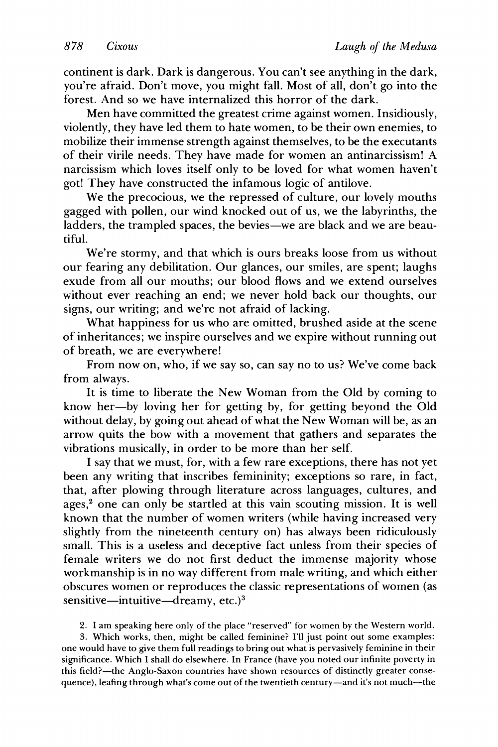**continent is dark. Dark is dangerous. You can't see anything in the dark, you're afraid. Don't move, you might fall. Most of all, don't go into the forest. And so we have internalized this horror of the dark.** 

**Men have committed the greatest crime against women. Insidiously, violently, they have led them to hate women, to be their own enemies, to mobilize their immense strength against themselves, to be the executants of their virile needs. They have made for women an antinarcissism! A narcissism which loves itself only to be loved for what women haven't got! They have constructed the infamous logic of antilove.** 

**We the precocious, we the repressed of culture, our lovely mouths gagged with pollen, our wind knocked out of us, we the labyrinths, the**  ladders, the trampled spaces, the bevies—we are black and we are beau**tiful.** 

**We're stormy, and that which is ours breaks loose from us without our fearing any debilitation. Our glances, our smiles, are spent; laughs exude from all our mouths; our blood flows and we extend ourselves without ever reaching an end; we never hold back our thoughts, our signs, our writing; and we're not afraid of lacking.** 

**What happiness for us who are omitted, brushed aside at the scene of inheritances; we inspire ourselves and we expire without running out of breath, we are everywhere!** 

**From now on, who, if we say so, can say no to us? We've come back from always.** 

**It is time to liberate the New Woman from the Old by coming to know her-by loving her for getting by, for getting beyond the Old without delay, by going out ahead of what the New Woman will be, as an arrow quits the bow with a movement that gathers and separates the vibrations musically, in order to be more than her self.** 

**I say that we must, for, with a few rare exceptions, there has not yet been any writing that inscribes femininity; exceptions so rare, in fact, that, after plowing through literature across languages, cultures, and**  ages,<sup>2</sup> one can only be startled at this vain scouting mission. It is well **known that the number of women writers (while having increased very slightly from the nineteenth century on) has always been ridiculously small. This is a useless and deceptive fact unless from their species of female writers we do not first deduct the immense majority whose workmanship is in no way different from male writing, and which either obscures women or reproduces the classic representations of women (as**  sensitive—intuitive—dreamy, etc.)<sup>3</sup>

**2. I am speaking here only of the place "reserved" for women by the Western world.** 

**3. Which works, then, might be called feminine? I'll just point out some examples: one would have to give them full readings to bring out what is pervasively feminine in their significance. Which I shall do elsewhere. In France (have you noted our infinite poverty in**  this field?-the Anglo-Saxon countries have shown resources of distinctly greater conse**quence), leafing through what's come out of the twentieth century-and it's not much-the**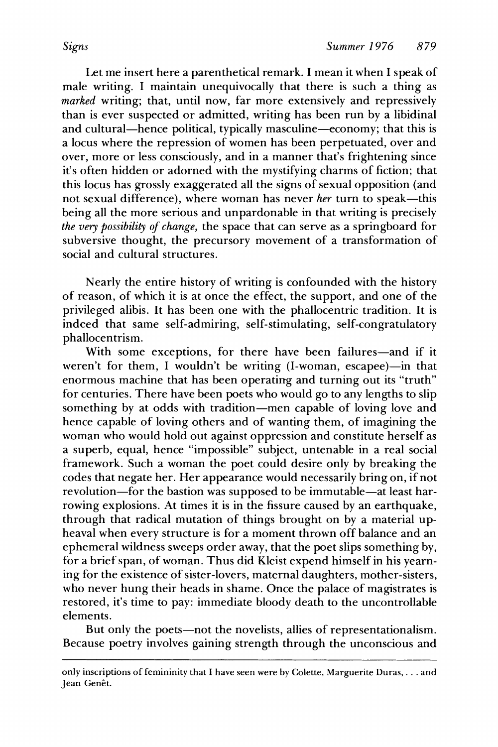**Let me insert here a parenthetical remark. I mean it when I speak of male writing. I maintain unequivocally that there is such a thing as marked writing; that, until now, far more extensively and repressively than is ever suspected or admitted, writing has been run by a libidinal and cultural-hence political, typically masculine-economy; that this is a locus where the repression of women has been perpetuated, over and over, more or less consciously, and in a manner that's frightening since it's often hidden or adorned with the mystifying charms of fiction; that this locus has grossly exaggerated all the signs of sexual opposition (and not sexual difference), where woman has never her turn to speak-this being all the more serious and unpardonable in that writing is precisely the very possibility of change, the space that can serve as a springboard for subversive thought, the precursory movement of a transformation of social and cultural structures.** 

**Nearly the entire history of writing is confounded with the history of reason, of which it is at once the effect, the support, and one of the privileged alibis. It has been one with the phallocentric tradition. It is indeed that same self-admiring, self-stimulating, self-congratulatory phallocentrism.** 

With some exceptions, for there have been failures-and if it weren't for them, I wouldn't be writing (I-woman, escapee)-in that **enormous machine that has been operating and turning out its "truth" for centuries. There have been poets who would go to any lengths to slip**  something by at odds with tradition-men capable of loving love and **hence capable of loving others and of wanting them, of imagining the woman who would hold out against oppression and constitute herself as a superb, equal, hence "impossible" subject, untenable in a real social framework. Such a woman the poet could desire only by breaking the codes that negate her. Her appearance would necessarily bring on, if not revolution-for the bastion was supposed to be immutable-at least harrowing explosions. At times it is in the fissure caused by an earthquake, through that radical mutation of things brought on by a material upheaval when every structure is for a moment thrown off balance and an ephemeral wildness sweeps order away, that the poet slips something by, for a brief span, of woman. Thus did Kleist expend himself in his yearning for the existence of sister-lovers, maternal daughters, mother-sisters, who never hung their heads in shame. Once the palace of magistrates is restored, it's time to pay: immediate bloody death to the uncontrollable elements.** 

**But only the poets-not the novelists, allies of representationalism. Because poetry involves gaining strength through the unconscious and** 

**only inscriptions of femininity that I have seen were by Colette, Marguerite Duras, ... and**  Jean Genêt.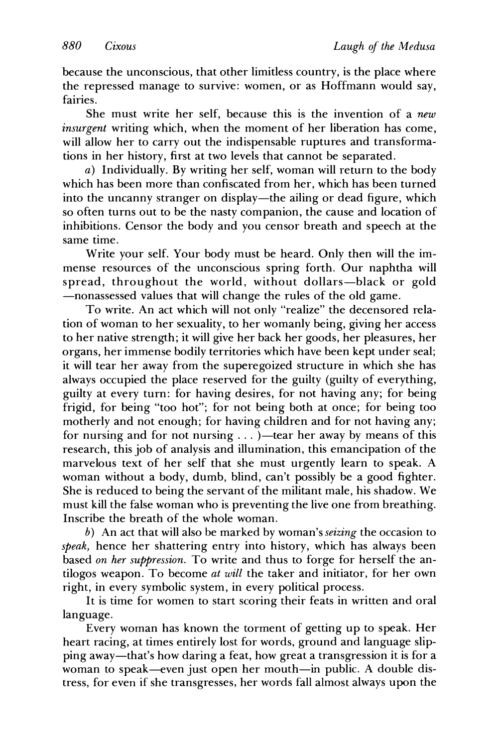**because the unconscious, that other limitless country, is the place where the repressed manage to survive: women, or as Hoffmann would say, fairies.** 

**She must write her self, because this is the invention of a new insurgent writing which, when the moment of her liberation has come, will allow her to carry out the indispensable ruptures and transformations in her history, first at two levels that cannot be separated.** 

**a) Individually. By writing her self, woman will return to the body which has been more than confiscated from her, which has been turned into the uncanny stranger on display-the ailing or dead figure, which so often turns out to be the nasty companion, the cause and location of inhibitions. Censor the body and you censor breath and speech at the same time.** 

**Write your self. Your body must be heard. Only then will the immense resources of the unconscious spring forth. Our naphtha will spread, throughout the world, without dollars-black or gold -nonassessed values that will change the rules of the old game.** 

**To write. An act which will not only "realize" the decensored relation of woman to her sexuality, to her womanly being, giving her access to her native strength; it will give her back her goods, her pleasures, her organs, her immense bodily territories which have been kept under seal; it will tear her away from the superegoized structure in which she has always occupied the place reserved for the guilty (guilty of everything, guilty at every turn: for having desires, for not having any; for being frigid, for being "too hot"; for not being both at once; for being too motherly and not enough; for having children and for not having any;**  for nursing and for not nursing ... )—tear her away by means of this **research, this job of analysis and illumination, this emancipation of the marvelous text of her self that she must urgently learn to speak. A woman without a body, dumb, blind, can't possibly be a good fighter. She is reduced to being the servant of the militant male, his shadow. We must kill the false woman who is preventing the live one from breathing. Inscribe the breath of the whole woman.** 

**b) An act that will also be marked by woman's seizing the occasion to speak, hence her shattering entry into history, which has always been based on her suppression.** To write and thus to forge for herself the an**tilogos weapon. To become at will the taker and initiator, for her own right, in every symbolic system, in every political process.** 

**It is time for women to start scoring their feats in written and oral language.** 

**Every woman has known the torment of getting up to speak. Her heart racing, at times entirely lost for words, ground and language slipping away-that's how daring a feat, how great a transgression it is for a**  woman to speak—even just open her mouth—in public. A double dis**tress, for even if she transgresses, her words fall almost always upon the**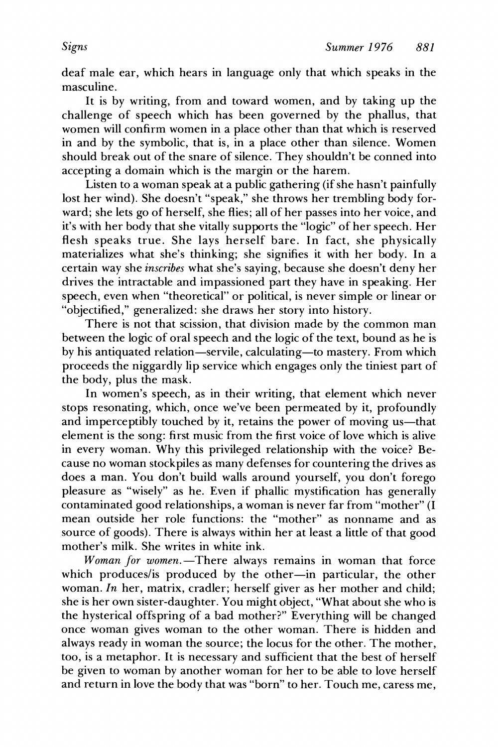**deaf male ear, which hears in language only that which speaks in the masculine.** 

**It is by writing, from and toward women, and by taking up the challenge of speech which has been governed by the phallus, that women will confirm women in a place other than that which is reserved in and by the symbolic, that is, in a place other than silence. Women should break out of the snare of silence. They shouldn't be conned into accepting a domain which is the margin or the harem.** 

**Listen to a woman speak at a public gathering (if she hasn't painfully lost her wind). She doesn't "speak," she throws her trembling body forward; she lets go of herself, she flies; all of her passes into her voice, and it's with her body that she vitally supports the "logic" of her speech. Her flesh speaks true. She lays herself bare. In fact, she physically materializes what she's thinking; she signifies it with her body. In a certain way she inscribes what she's saying, because she doesn't deny her drives the intractable and impassioned part they have in speaking. Her speech, even when "theoretical" or political, is never simple or linear or "objectified," generalized: she draws her story into history.** 

**There is not that scission, that division made by the common man between the logic of oral speech and the logic of the text, bound as he is by his antiquated relation-servile, calculating-to mastery. From which proceeds the niggardly lip service which engages only the tiniest part of the body, plus the mask.** 

**In women's speech, as in their writing, that element which never stops resonating, which, once we've been permeated by it, profoundly**  and imperceptibly touched by it, retains the power of moving us—that **element is the song: first music from the first voice of love which is alive in every woman. Why this privileged relationship with the voice? Because no woman stockpiles as many defenses for countering the drives as does a man. You don't build walls around yourself, you don't forego pleasure as "wisely" as he. Even if phallic mystification has generally contaminated good relationships, a woman is never far from "mother" (I mean outside her role functions: the "mother" as nonname and as source of goods). There is always within her at least a little of that good mother's milk. She writes in white ink.** 

Woman for women.-There always remains in woman that force which produces/is produced by the other-in particular, the other **woman. In her, matrix, cradler; herself giver as her mother and child; she is her own sister-daughter. You might object, "What about she who is the hysterical offspring of a bad mother?" Everything will be changed once woman gives woman to the other woman. There is hidden and always ready in woman the source; the locus for the other. The mother, too, is a metaphor. It is necessary and sufficient that the best of herself be given to woman by another woman for her to be able to love herself and return in love the body that was "born" to her. Touch me, caress me,**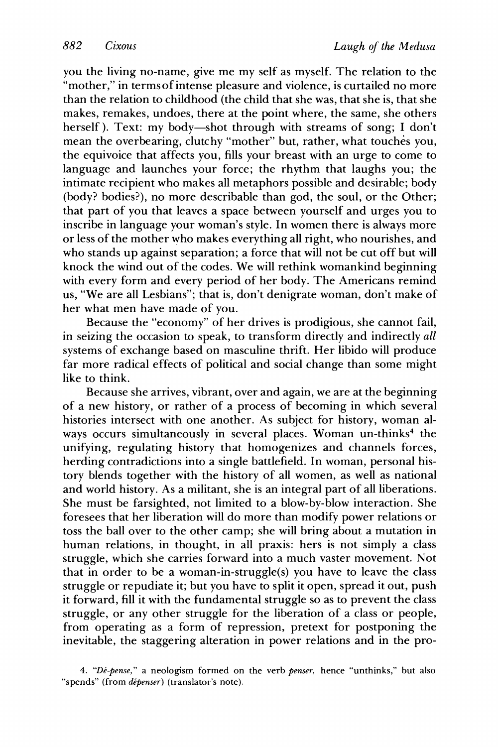**you the living no-name, give me my self as myself. The relation to the "mother," in termsof intense pleasure and violence, is curtailed no more than the relation to childhood (the child that she was, that she is, that she makes, remakes, undoes, there at the point where, the same, she others herself). Text: my body-shot through with streams of song; I don't mean the overbearing, clutchy "mother" but, rather, what touches you, the equivoice that affects you, fills your breast with an urge to come to language and launches your force; the rhythm that laughs you; the intimate recipient who makes all metaphors possible and desirable; body (body? bodies?), no more describable than god, the soul, or the Other; that part of you that leaves a space between yourself and urges you to inscribe in language your woman's style. In women there is always more or less of the mother who makes everything all right, who nourishes, and who stands up against separation; a force that will not be cut off but will knock the wind out of the codes. We will rethink womankind beginning with every form and every period of her body. The Americans remind us, "We are all Lesbians"; that is, don't denigrate woman, don't make of her what men have made of you.** 

**Because the "economy" of her drives is prodigious, she cannot fail, in seizing the occasion to speak, to transform directly and indirectly all systems of exchange based on masculine thrift. Her libido will produce far more radical effects of political and social change than some might like to think.** 

**Because she arrives, vibrant, over and again, we are at the beginning of a new history, or rather of a process of becoming in which several histories intersect with one another. As subject for history, woman al**ways occurs simultaneously in several places. Woman un-thinks<sup>4</sup> the **unifying, regulating history that homogenizes and channels forces, herding contradictions into a single battlefield. In woman, personal history blends together with the history of all women, as well as national and world history. As a militant, she is an integral part of all liberations. She must be farsighted, not limited to a blow-by-blow interaction. She foresees that her liberation will do more than modify power relations or toss the ball over to the other camp; she will bring about a mutation in human relations, in thought, in all praxis: hers is not simply a class struggle, which she carries forward into a much vaster movement. Not that in order to be a woman-in-struggle(s) you have to leave the class struggle or repudiate it; but you have to split it open, spread it out, push it forward, fill it with the fundamental struggle so as to prevent the class struggle, or any other struggle for the liberation of a class or people, from operating as a form of repression, pretext for postponing the inevitable, the staggering alteration in power relations and in the pro-**

**<sup>4. &</sup>quot;De-pense," a neologism formed on the verb penser, hence "unthinks," but also**  "spends" (from *dépenser*) (translator's note).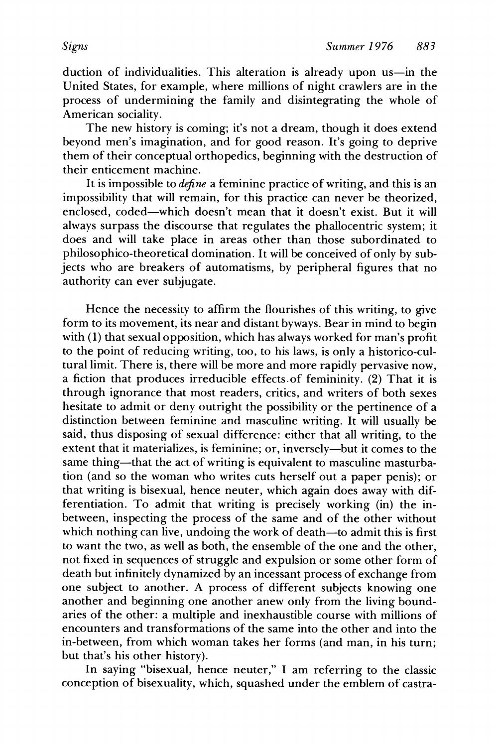duction of individualities. This alteration is already upon us-in the **United States, for example, where millions of night crawlers are in the process of undermining the family and disintegrating the whole of American sociality.** 

**The new history is coming; it's not a dream, though it does extend beyond men's imagination, and for good reason. It's going to deprive them of their conceptual orthopedics, beginning with the destruction of their enticement machine.** 

**It is impossible to define a feminine practice of writing, and this is an impossibility that will remain, for this practice can never be theorized, enclosed, coded-which doesn't mean that it doesn't exist. But it will always surpass the discourse that regulates the phallocentric system; it does and will take place in areas other than those subordinated to philosophico-theoretical domination. It will be conceived of only by subjects who are breakers of automatisms, by peripheral figures that no authority can ever subjugate.** 

**Hence the necessity to affirm the flourishes of this writing, to give form to its movement, its near and distant byways. Bear in mind to begin with (1) that sexual opposition, which has always worked for man's profit to the point of reducing writing, too, to his laws, is only a historico-cultural limit. There is, there will be more and more rapidly pervasive now, a fiction that produces irreducible effects.of femininity. (2) That it is through ignorance that most readers, critics, and writers of both sexes hesitate to admit or deny outright the possibility or the pertinence of a distinction between feminine and masculine writing. It will usually be said, thus disposing of sexual difference: either that all writing, to the extent that it materializes, is feminine; or, inversely-but it comes to the**  same thing—that the act of writing is equivalent to masculine masturba**tion (and so the woman who writes cuts herself out a paper penis); or that writing is bisexual, hence neuter, which again does away with differentiation. To admit that writing is precisely working (in) the inbetween, inspecting the process of the same and of the other without**  which nothing can live, undoing the work of death—to admit this is first **to want the two, as well as both, the ensemble of the one and the other, not fixed in sequences of struggle and expulsion or some other form of death but infinitely dynamized by an incessant process of exchange from one subject to another. A process of different subjects knowing one another and beginning one another anew only from the living boundaries of the other: a multiple and inexhaustible course with millions of encounters and transformations of the same into the other and into the in-between, from which woman takes her forms (and man, in his turn; but that's his other history).** 

**In saying "bisexual, hence neuter," I am referring to the classic conception of bisexuality, which, squashed under the emblem of castra-**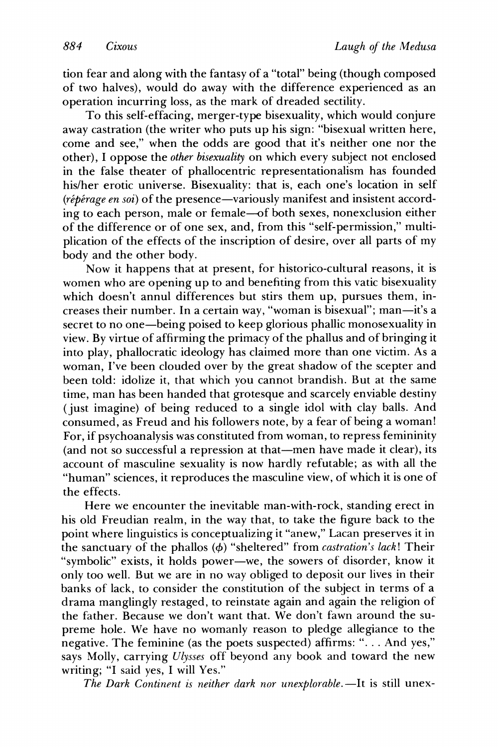**tion fear and along with the fantasy of a "total" being (though composed of two halves), would do away with the difference experienced as an operation incurring loss, as the mark of dreaded sectility.** 

**To this self-effacing, merger-type bisexuality, which would conjure away castration (the writer who puts up his sign: "bisexual written here, come and see," when the odds are good that it's neither one nor the other), I oppose the other bisexuality on which every subject not enclosed in the false theater of phallocentric representationalism has founded his/her erotic universe. Bisexuality: that is, each one's location in self**  (répérage en soi) of the presence—variously manifest and insistent accord**ing to each person, male or female-of both sexes, nonexclusion either of the difference or of one sex, and, from this "self-permission," multiplication of the effects of the inscription of desire, over all parts of my body and the other body.** 

**Now it happens that at present, for historico-cultural reasons, it is women who are opening up to and benefiting from this vatic bisexuality which doesn't annul differences but stirs them up, pursues them, increases their number. In a certain way, "woman is bisexual"; man-it's a secret to no one-being poised to keep glorious phallic monosexuality in view. By virtue of affirming the primacy of the phallus and of bringing it into play, phallocratic ideology has claimed more than one victim. As a woman, I've been clouded over by the great shadow of the scepter and been told: idolize it, that which you cannot brandish. But at the same time, man has been handed that grotesque and scarcely enviable destiny (just imagine) of being reduced to a single idol with clay balls. And consumed, as Freud and his followers note, by a fear of being a woman! For, if psychoanalysis was constituted from woman, to repress femininity (and not so successful a repression at that-men have made it clear), its account of masculine sexuality is now hardly refutable; as with all the "human" sciences, it reproduces the masculine view, of which it is one of the effects.** 

**Here we encounter the inevitable man-with-rock, standing erect in his old Freudian realm, in the way that, to take the figure back to the point where linguistics is conceptualizing it "anew," Lacan preserves it in**  the sanctuary of the phallos  $(\phi)$  "sheltered" from *castration's lack!* Their **"symbolic" exists, it holds power-we, the sowers of disorder, know it only too well. But we are in no way obliged to deposit our lives in their banks of lack, to consider the constitution of the subject in terms of a drama manglingly restaged, to reinstate again and again the religion of the father. Because we don't want that. We don't fawn around the supreme hole. We have no womanly reason to pledge allegiance to the negative. The feminine (as the poets suspected) affirms: ". . . And yes," says Molly, carrying Ulysses off beyond any book and toward the new writing; "I said yes, I will Yes."** 

The Dark Continent is neither dark nor unexplorable.—It is still unex-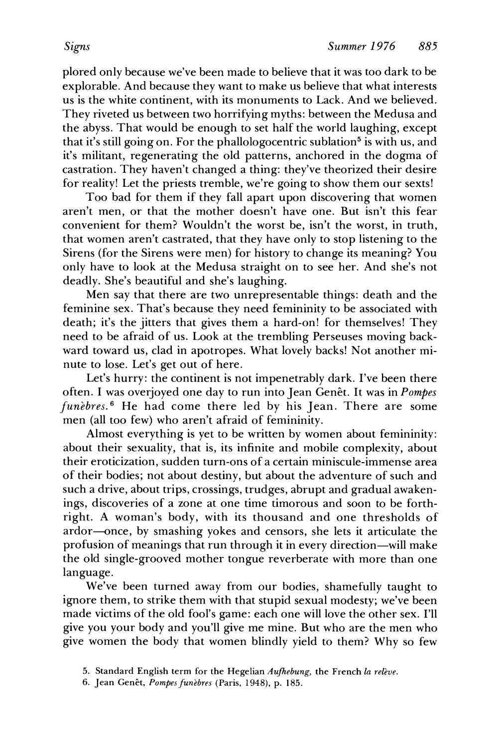**plored only because we've been made to believe that it was too dark to be explorable. And because they want to make us believe that what interests us is the white continent, with its monuments to Lack. And we believed. They riveted us between two horrifying myths: between the Medusa and the abyss. That would be enough to set half the world laughing, except that it's still going on. For the phallologocentric sublation5 is with us, and it's militant, regenerating the old patterns, anchored in the dogma of castration. They haven't changed a thing: they've theorized their desire for reality! Let the priests tremble, we're going to show them our sexts!** 

**Too bad for them if they fall apart upon discovering that women aren't men, or that the mother doesn't have one. But isn't this fear convenient for them? Wouldn't the worst be, isn't the worst, in truth, that women aren't castrated, that they have only to stop listening to the Sirens (for the Sirens were men) for history to change its meaning? You only have to look at the Medusa straight on to see her. And she's not deadly. She's beautiful and she's laughing.** 

**Men say that there are two unrepresentable things: death and the feminine sex. That's because they need femininity to be associated with death; it's the jitters that gives them a hard-on! for themselves! They need to be afraid of us. Look at the trembling Perseuses moving backward toward us, clad in apotropes. What lovely backs! Not another minute to lose. Let's get out of here.** 

**Let's hurry: the continent is not impenetrably dark. I've been there often. I was overjoyed one day to run into Jean Genet. It was in Pompes**  funèbres.<sup>6</sup> He had come there led by his Jean. There are some **men (all too few) who aren't afraid of femininity.** 

**Almost everything is yet to be written by women about femininity: about their sexuality, that is, its infinite and mobile complexity, about their eroticization, sudden turn-ons of a certain miniscule-immense area of their bodies; not about destiny, but about the adventure of such and such a drive, about trips, crossings, trudges, abrupt and gradual awakenings, discoveries of a zone at one time timorous and soon to be forthright. A woman's body, with its thousand and one thresholds of ardor-once, by smashing yokes and censors, she lets it articulate the profusion of meanings that run through it in every direction-will make the old single-grooved mother tongue reverberate with more than one language.** 

**We've been turned away from our bodies, shamefully taught to ignore them, to strike them with that stupid sexual modesty; we've been made victims of the old fool's game: each one will love the other sex. I'll give you your body and you'll give me mine. But who are the men who give women the body that women blindly yield to them? Why so few** 

**<sup>5.</sup> Standard English term for the Hegelian Aufhebung, the French la releve.** 

<sup>6.</sup> Jean Genêt, Pompes funèbres (Paris, 1948), p. 185.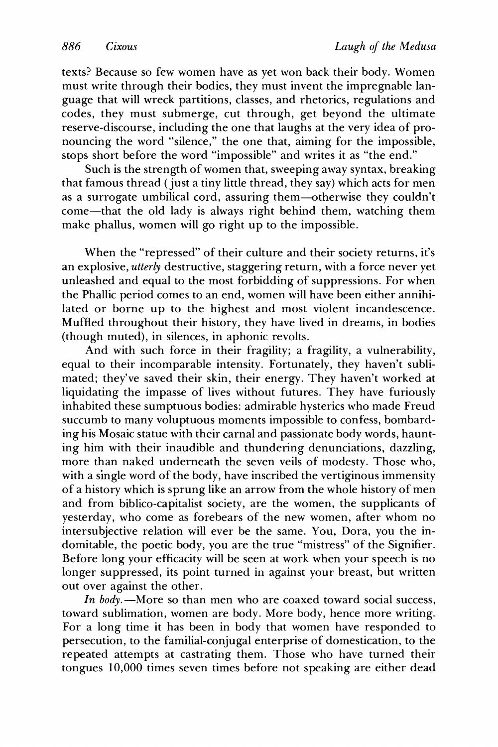**texts? Because so few women have as yet won back their body. Women must write through their bodies, they must invent the impregnable language that will wreck partitions, classes, and rhetorics, regulations and codes, they must submerge, cut through, get beyond the ultimate reserve-discourse, including the one that laughs at the very idea of pronouncing the word "silence," the one that, aiming for the impossible, stops short before the word "impossible" and writes it as "the end."** 

**Such is the strength of women that, sweeping away syntax, breaking that famous thread (just a tiny little thread, they say) which acts for men as a surrogate umbilical cord, assuring them-otherwise they couldn't come-that the old lady is always right behind them, watching them make phallus, women will go right up to the impossible.** 

**When the "repressed" of their culture and their society returns, it's an explosive, utterly destructive, staggering return, with a force never yet unleashed and equal to the most forbidding of suppressions. For when the Phallic period comes to an end, women will have been either annihilated or borne up to the highest and most violent incandescence. Muffled throughout their history, they have lived in dreams, in bodies (though muted), in silences, in aphonic revolts.** 

**And with such force in their fragility; a fragility, a vulnerability, equal to their incomparable intensity. Fortunately, they haven't sublimated; they've saved their skin, their energy. They haven't worked at liquidating the impasse of lives without futures. They have furiously inhabited these sumptuous bodies: admirable hysterics who made Freud succumb to many voluptuous moments impossible to confess, bombarding his Mosaic statue with their carnal and passionate body words, haunting him with their inaudible and thundering denunciations, dazzling, more than naked underneath the seven veils of modesty. Those who, with a single word of the body, have inscribed the vertiginous immensity of a history which is sprung like an arrow from the whole history of men and from biblico-capitalist society, are the women, the supplicants of yesterday, who come as forebears of the new women, after whom no intersubjective relation will ever be the same. You, Dora, you the indomitable, the poetic body, you are the true "mistress" of the Signifier. Before long your efficacity will be seen at work when your speech is no longer suppressed, its point turned in against your breast, but written out over against the other.** 

In body.—More so than men who are coaxed toward social success, **toward sublimation, women are body. More body, hence more writing. For a long time it has been in body that women have responded to persecution, to the familial-conjugal enterprise of domestication, to the repeated attempts at castrating them. Those who have turned their tongues 10,000 times seven times before not speaking are either dead**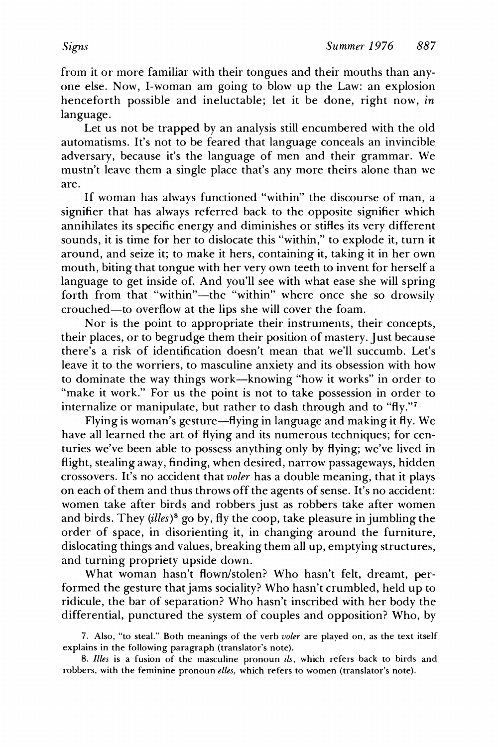**from it or more familiar with their tongues and their mouths than anyone else. Now, I-woman am going to blow up the Law: an explosion henceforth possible and ineluctable; let it be done, right now, in language.** 

**Let us not be trapped by an analysis still encumbered with the old automatisms. It's not to be feared that language conceals an invincible adversary, because it's the language of men and their grammar. We mustn't leave them a single place that's any more theirs alone than we are.** 

**If woman has always functioned "within" the discourse of man, a signifier that has always referred back to the opposite signifier which annihilates its specific energy and diminishes or stifles its very different sounds, it is time for her to dislocate this "within," to explode it, turn it around, and seize it; to make it hers, containing it, taking it in her own mouth, biting that tongue with her very own teeth to invent for herself a language to get inside of. And you'll see with what ease she will spring**  forth from that "within"—the "within" where once she so drowsily **crouched-to overflow at the lips she will cover the foam.** 

**Nor is the point to appropriate their instruments, their concepts, their places, or to begrudge them their position of mastery. Just because there's a risk of identification doesn't mean that we'll succumb. Let's leave it to the worriers, to masculine anxiety and its obsession with how to dominate the way things work-knowing "how it works" in order to "make it work." For us the point is not to take possession in order to internalize or manipulate, but rather to dash through and to "fly."7** 

**Flying is woman's gesture-flying in language and making it fly. We have all learned the art of flying and its numerous techniques; for centuries we've been able to possess anything only by flying; we've lived in flight, stealing away, finding, when desired, narrow passageways, hidden crossovers. It's no accident that voler has a double meaning, that it plays on each of them and thus throws off the agents of sense. It's no accident: women take after birds and robbers just as robbers take after women and birds. They (illes)8 go by, fly the coop, take pleasure in jumbling the order of space, in disorienting it, in changing around the furniture, dislocating things and values, breaking them all up, emptying structures, and turning propriety upside down.** 

**What woman hasn't flown/stolen? Who hasn't felt, dreamt, performed the gesture that jams sociality? Who hasn't crumbled, held up to ridicule, the bar of separation? Who hasn't inscribed with her body the differential, punctured the system of couples and opposition? Who, by** 

**<sup>7.</sup> Also, "to steal." Both meanings of the verb voler are played on, as the text itself explains in the following paragraph (translator's note).** 

**<sup>8.</sup> Illes is a fusion of the masculine pronoun ils, which refers back to birds and robbers, with the feminine pronoun elles, which refers to women (translator's note).**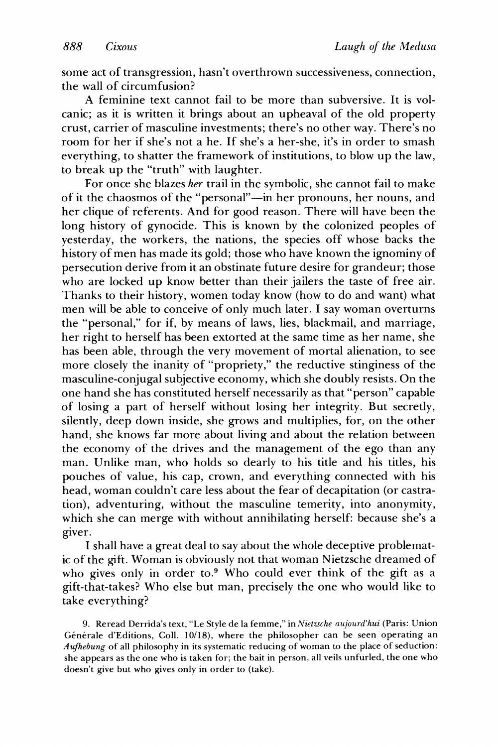**some act of transgression, hasn't overthrown successiveness, connection, the wall of circumfusion?** 

**A feminine text cannot fail to be more than subversive. It is volcanic; as it is written it brings about an upheaval of the old property crust, carrier of masculine investments; there's no other way. There's no room for her if she's not a he. If she's a her-she, it's in order to smash everything, to shatter the framework of institutions, to blow up the law, to break up the "truth" with laughter.** 

**For once she blazes her trail in the symbolic, she cannot fail to make of it the chaosmos of the "personal"-in her pronouns, her nouns, and her clique of referents. And for good reason. There will have been the long history of gynocide. This is known by the colonized peoples of yesterday, the workers, the nations, the species off whose backs the history of men has made its gold; those who have known the ignominy of persecution derive from it an obstinate future desire for grandeur; those who are locked up know better than their jailers the taste of free air. Thanks to their history, women today know (how to do and want) what men will be able to conceive of only much later. I say woman overturns the "personal," for if, by means of laws, lies, blackmail, and marriage, her right to herself has been extorted at the same time as her name, she has been able, through the very movement of mortal alienation, to see more closely the inanity of "propriety," the reductive stinginess of the masculine-conjugal subjective economy, which she doubly resists. On the one hand she has constituted herself necessarily as that "person" capable of losing a part of herself without losing her integrity. But secretly, silently, deep down inside, she grows and multiplies, for, on the other hand, she knows far more about living and about the relation between the economy of the drives and the management of the ego than any man. Unlike man, who holds so dearly to his title and his titles, his pouches of value, his cap, crown, and everything connected with his head, woman couldn't care less about the fear of decapitation (or castration), adventuring, without the masculine temerity, into anonymity, which she can merge with without annihilating herself: because she's a giver.** 

**I shall have a great deal to say about the whole deceptive problematic of the gift. Woman is obviously not that woman Nietzsche dreamed of who gives only in order to.9 Who could ever think of the gift as a gift-that-takes? Who else but man, precisely the one who would like to take everything?** 

**9. Reread Derrida's text, "Le Style de la femme," in Nietzsche aujourd'hui (Paris: Union**  Générale d'Editions, Coll. 10/18), where the philosopher can be seen operating an **Aufhebung of all philosophy in its systematic reducing of woman to the place of seduction: she appears as the one who is taken for; the bait in person, all veils unfurled, the one who doesn't give but who gives only in order to (take).**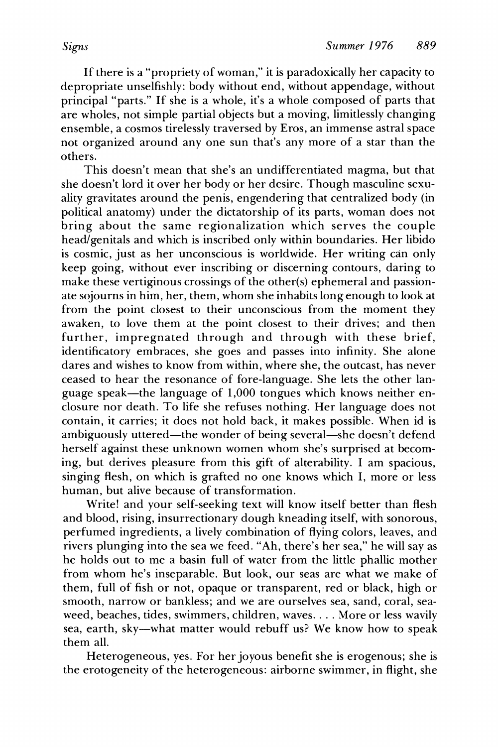**If there is a "propriety of woman," it is paradoxically her capacity to depropriate unselfishly: body without end, without appendage, without principal "parts." If she is a whole, it's a whole composed of parts that are wholes, not simple partial objects but a moving, limitlessly changing ensemble, a cosmos tirelessly traversed by Eros, an immense astral space not organized around any one sun that's any more of a star than the others.** 

**This doesn't mean that she's an undifferentiated magma, but that she doesn't lord it over her body or her desire. Though masculine sexuality gravitates around the penis, engendering that centralized body (in political anatomy) under the dictatorship of its parts, woman does not bring about the same regionalization which serves the couple head/genitals and which is inscribed only within boundaries. Her libido is cosmic, just as her unconscious is worldwide. Her writing can only keep going, without ever inscribing or discerning contours, daring to make these vertiginous crossings of the other(s) ephemeral and passionate sojourns in him, her, them, whom she inhabits long enough to look at from the point closest to their unconscious from the moment they awaken, to love them at the point closest to their drives; and then further, impregnated through and through with these brief, identificatory embraces, she goes and passes into infinity. She alone dares and wishes to know from within, where she, the outcast, has never ceased to hear the resonance of fore-language. She lets the other language speak-the language of 1,000 tongues which knows neither enclosure nor death. To life she refuses nothing. Her language does not contain, it carries; it does not hold back, it makes possible. When id is ambiguously uttered-the wonder of being several-she doesn't defend herself against these unknown women whom she's surprised at becoming, but derives pleasure from this gift of alterability. I am spacious, singing flesh, on which is grafted no one knows which I, more or less human, but alive because of transformation.** 

**Write! and your self-seeking text will know itself better than flesh and blood, rising, insurrectionary dough kneading itself, with sonorous, perfumed ingredients, a lively combination of flying colors, leaves, and rivers plunging into the sea we feed. "Ah, there's her sea," he will say as he holds out to me a basin full of water from the little phallic mother from whom he's inseparable. But look, our seas are what we make of them, full of fish or not, opaque or transparent, red or black, high or smooth, narrow or bankless; and we are ourselves sea, sand, coral, seaweed, beaches, tides, swimmers, children, waves .... More or less wavily sea, earth, sky-what matter would rebuff us? We know how to speak them all.** 

**Heterogeneous, yes. For her joyous benefit she is erogenous; she is the erotogeneity of the heterogeneous: airborne swimmer, in flight, she**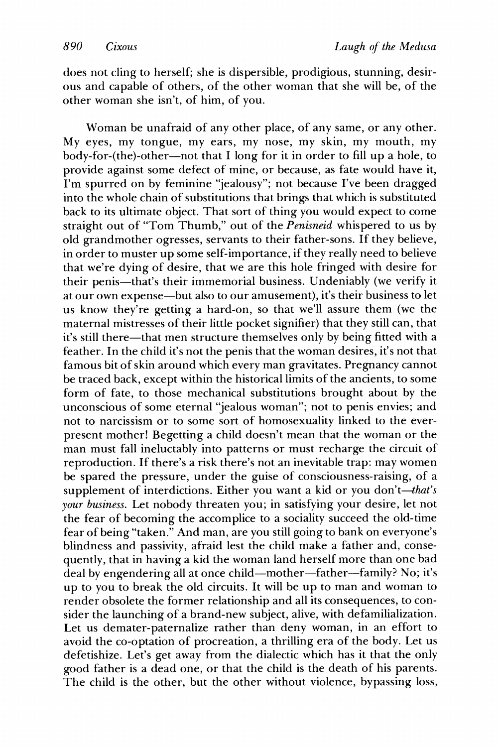**does not cling to herself; she is dispersible, prodigious, stunning, desirous and capable of others, of the other woman that she will be, of the other woman she isn't, of him, of you.** 

**Woman be unafraid of any other place, of any same, or any other. My eyes, my tongue, my ears, my nose, my skin, my mouth, my body-for-(the)-other-not that I long for it in order to fill up a hole, to provide against some defect of mine, or because, as fate would have it, I'm spurred on by feminine "jealousy"; not because I've been dragged into the whole chain of substitutions that brings that which is substituted back to its ultimate object. That sort of thing you would expect to come straight out of "Tom Thumb," out of the Penisneid whispered to us by old grandmother ogresses, servants to their father-sons. If they believe, in order to muster up some self-importance, if they really need to believe that we're dying of desire, that we are this hole fringed with desire for their penis-that's their immemorial business. Undeniably (we verify it at our own expense-but also to our amusement), it's their business to let us know they're getting a hard-on, so that we'll assure them (we the maternal mistresses of their little pocket signifier) that they still can, that it's still there-that men structure themselves only by being fitted with a feather. In the child it's not the penis that the woman desires, it's not that famous bit of skin around which every man gravitates. Pregnancy cannot be traced back, except within the historical limits of the ancients, to some form of fate, to those mechanical substitutions brought about by the unconscious of some eternal "jealous woman"; not to penis envies; and not to narcissism or to some sort of homosexuality linked to the everpresent mother! Begetting a child doesn't mean that the woman or the man must fall ineluctably into patterns or must recharge the circuit of reproduction. If there's a risk there's not an inevitable trap: may women be spared the pressure, under the guise of consciousness-raising, of a**  supplement of interdictions. Either you want a kid or you don't-that's **your business. Let nobody threaten you; in satisfying your desire, let not the fear of becoming the accomplice to a sociality succeed the old-time fear of being "taken." And man, are you still going to bank on everyone's blindness and passivity, afraid lest the child make a father and, consequently, that in having a kid the woman land herself more than one bad deal by engendering all at once child-mother-father-family? No; it's up to you to break the old circuits. It will be up to man and woman to render obsolete the former relationship and all its consequences, to consider the launching of a brand-new subject, alive, with defamilialization. Let us demater-paternalize rather than deny woman, in an effort to avoid the co-optation of procreation, a thrilling era of the body. Let us defetishize. Let's get away from the dialectic which has it that the only good father is a dead one, or that the child is the death of his parents. The child is the other, but the other without violence, bypassing loss,**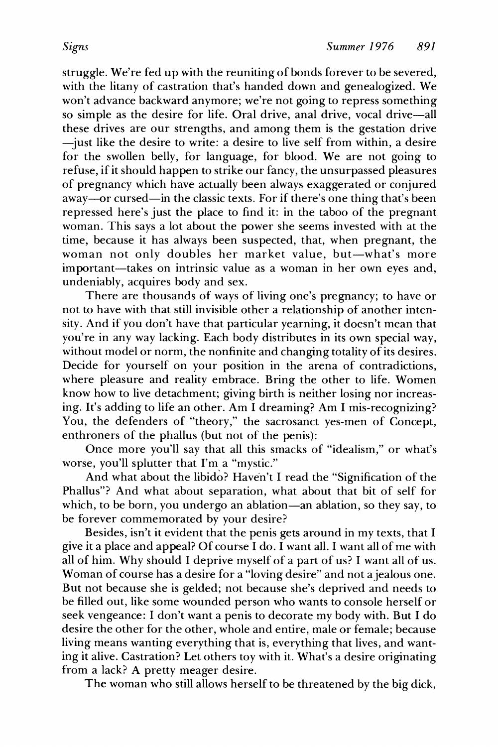**struggle. We're fed up with the reuniting of bonds forever to be severed, with the litany of castration that's handed down and genealogized. We won't advance backward anymore; we're not going to repress something so simple as the desire for life. Oral drive, anal drive, vocal drive-all these drives are our strengths, and among them is the gestation drive -just like the desire to write: a desire to live self from within, a desire for the swollen belly, for language, for blood. We are not going to refuse, if it should happen to strike our fancy, the unsurpassed pleasures of pregnancy which have actually been always exaggerated or conjured away-or cursed-in the classic texts. For if there's one thing that's been repressed here's just the place to find it: in the taboo of the pregnant woman. This says a lot about the power she seems invested with at the time, because it has always been suspected, that, when pregnant, the woman not only doubles her market value, but-what's more**  important-takes on intrinsic value as a woman in her own eyes and, **undeniably, acquires body and sex.** 

**There are thousands of ways of living one's pregnancy; to have or not to have with that still invisible other a relationship of another intensity. And if you don't have that particular yearning, it doesn't mean that you're in any way lacking. Each body distributes in its own special way, without model or norm, the nonfinite and changing totality of its desires. Decide for yourself on your position in the arena of contradictions, where pleasure and reality embrace. Bring the other to life. Women know how to live detachment; giving birth is neither losing nor increasing. It's adding to life an other. Am I dreaming? Am I mis-recognizing? You, the defenders of "theory," the sacrosanct yes-men of Concept, enthroners of the phallus (but not of the penis):** 

**Once more you'll say that all this smacks of "idealism," or what's worse, you'll splutter that I'm a "mystic."** 

**And what about the libido? Haven't I read the "Signification of the Phallus"? And what about separation, what about that bit of self for which, to be born, you undergo an ablation-an ablation, so they say, to be forever commemorated by your desire?** 

**Besides, isn't it evident that the penis gets around in my texts, that I give it a place and appeal? Of course I do. I want all. I want all of me with all of him. Why should I deprive myself of a part of us? I want all of us.**  Woman of course has a desire for a "loving desire" and not a jealous one. **But not because she is gelded; not because she's deprived and needs to be filled out, like some wounded person who wants to console herself or seek vengeance: I don't want a penis to decorate my body with. But I do desire the other for the other, whole and entire, male or female; because living means wanting everything that is, everything that lives, and wanting it alive. Castration? Let others toy with it. What's a desire originating from a lack? A pretty meager desire.** 

**The woman who still allows herself to be threatened by the big dick,**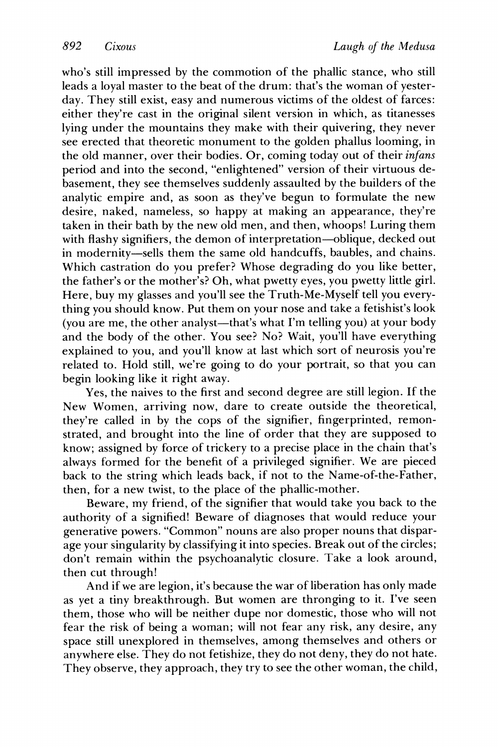**who's still impressed by the commotion of the phallic stance, who still leads a loyal master to the beat of the drum: that's the woman of yesterday. They still exist, easy and numerous victims of the oldest of farces: either they're cast in the original silent version in which, as titanesses lying under the mountains they make with their quivering, they never see erected that theoretic monument to the golden phallus looming, in the old manner, over their bodies. Or, coming today out of their infans period and into the second, "enlightened" version of their virtuous debasement, they see themselves suddenly assaulted by the builders of the analytic empire and, as soon as they've begun to formulate the new desire, naked, nameless, so happy at making an appearance, they're taken in their bath by the new old men, and then, whoops! Luring them with flashy signifiers, the demon of interpretation-oblique, decked out in modernity-sells them the same old handcuffs, baubles, and chains. Which castration do you prefer? Whose degrading do you like better, the father's or the mother's? Oh, what pwetty eyes, you pwetty little girl.**  Here, buy my glasses and you'll see the Truth-Me-Myself tell you every**thing you should know. Put them on your nose and take a fetishist's look**  (you are me, the other analyst—that's what I'm telling you) at your body **and the body of the other. You see? No? Wait, you'll have everything explained to you, and you'll know at last which sort of neurosis you're related to. Hold still, we're going to do your portrait, so that you can begin looking like it right away.** 

**Yes, the naives to the first and second degree are still legion. If the New Women, arriving now, dare to create outside the theoretical, they're called in by the cops of the signifier, fingerprinted, remonstrated, and brought into the line of order that they are supposed to know; assigned by force of trickery to a precise place in the chain that's always formed for the benefit of a privileged signifier. We are pieced back to the string which leads back, if not to the Name-of-the-Father, then, for a new twist, to the place of the phallic-mother.** 

**Beware, my friend, of the signifier that would take you back to the authority of a signified! Beware of diagnoses that would reduce your generative powers. "Common" nouns are also proper nouns that disparage your singularity by classifying it into species. Break out of the circles; don't remain within the psychoanalytic closure. Take a look around, then cut through!** 

**And if we are legion, it's because the war of liberation has only made as yet a tiny breakthrough. But women are thronging to it. I've seen them, those who will be neither dupe nor domestic, those who will not fear the risk of being a woman; will not fear any risk, any desire, any space still unexplored in themselves, among themselves and others or anywhere else. They do not fetishize, they do not deny, they do not hate. They observe, they approach, they try to see the other woman, the child,**